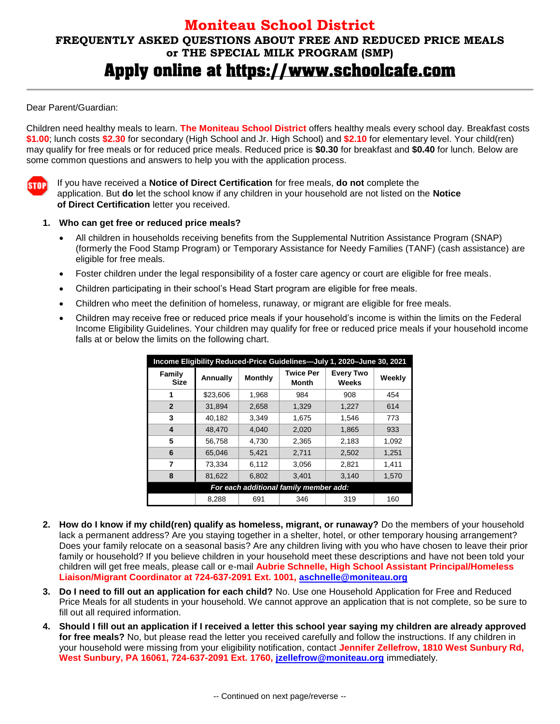## **Moniteau School District FREQUENTLY ASKED QUESTIONS ABOUT FREE AND REDUCED PRICE MEALS or THE SPECIAL MILK PROGRAM (SMP)** Apply online at https://www.schoolcafe.com

## Dear Parent/Guardian:

Children need healthy meals to learn. **The Moniteau School District** offers healthy meals every school day. Breakfast costs **\$1.00**; lunch costs **\$2.30** for secondary (High School and Jr. High School) and **\$2.10** for elementary level. Your child(ren) may qualify for free meals or for reduced price meals. Reduced price is **\$0.30** for breakfast and **\$0.40** for lunch. Below are some common questions and answers to help you with the application process.

**STOP** 

If you have received a **Notice of Direct Certification** for free meals, **do not** complete the application. But **do** let the school know if any children in your household are not listed on the **Notice of Direct Certification** letter you received.

## **1. Who can get free or reduced price meals?**

- All children in households receiving benefits from the Supplemental Nutrition Assistance Program (SNAP) (formerly the Food Stamp Program) or Temporary Assistance for Needy Families (TANF) (cash assistance) are eligible for free meals.
- Foster children under the legal responsibility of a foster care agency or court are eligible for free meals.
- Children participating in their school's Head Start program are eligible for free meals.
- Children who meet the definition of homeless, runaway, or migrant are eligible for free meals.
- Children may receive free or reduced price meals if your household's income is within the limits on the Federal Income Eligibility Guidelines. Your children may qualify for free or reduced price meals if your household income falls at or below the limits on the following chart.

| Income Eligibility Reduced-Price Guidelines-July 1, 2020-June 30, 2021 |          |                |                           |                           |        |
|------------------------------------------------------------------------|----------|----------------|---------------------------|---------------------------|--------|
| Family<br><b>Size</b>                                                  | Annually | <b>Monthly</b> | <b>Twice Per</b><br>Month | <b>Every Two</b><br>Weeks | Weekly |
| 1                                                                      | \$23,606 | 1.968          | 984                       | 908                       | 454    |
| $\overline{2}$                                                         | 31.894   | 2,658          | 1,329                     | 1,227                     | 614    |
| 3                                                                      | 40.182   | 3.349          | 1.675                     | 1.546                     | 773    |
| 4                                                                      | 48.470   | 4.040          | 2,020                     | 1.865                     | 933    |
| 5                                                                      | 56,758   | 4,730          | 2.365                     | 2,183                     | 1,092  |
| 6                                                                      | 65,046   | 5,421          | 2,711                     | 2,502                     | 1.251  |
| 7                                                                      | 73.334   | 6,112          | 3.056                     | 2,821                     | 1.411  |
| 8                                                                      | 81.622   | 6.802          | 3.401                     | 3.140                     | 1.570  |
| For each additional family member add:                                 |          |                |                           |                           |        |
|                                                                        | 8,288    | 691            | 346                       | 319                       | 160    |

- **2. How do I know if my child(ren) qualify as homeless, migrant, or runaway?** Do the members of your household lack a permanent address? Are you staying together in a shelter, hotel, or other temporary housing arrangement? Does your family relocate on a seasonal basis? Are any children living with you who have chosen to leave their prior family or household? If you believe children in your household meet these descriptions and have not been told your children will get free meals, please call or e-mail **Aubrie Schnelle, High School Assistant Principal/Homeless Liaison/Migrant Coordinator at 724-637-2091 Ext. 1001, aschnelle@moniteau.org**
- **3. Do I need to fill out an application for each child?** No. Use one Household Application for Free and Reduced Price Meals for all students in your household. We cannot approve an application that is not complete, so be sure to fill out all required information.
- **4. Should I fill out an application if I received a letter this school year saying my children are already approved for free meals?** No, but please read the letter you received carefully and follow the instructions. If any children in your household were missing from your eligibility notification, contact **Jennifer Zellefrow, 1810 West Sunbury Rd, West Sunbury, PA 16061, 724-637-2091 Ext. 1760, [jzellefrow@moniteau.org](mailto:jzellefrow@moniteau.org)** immediately.